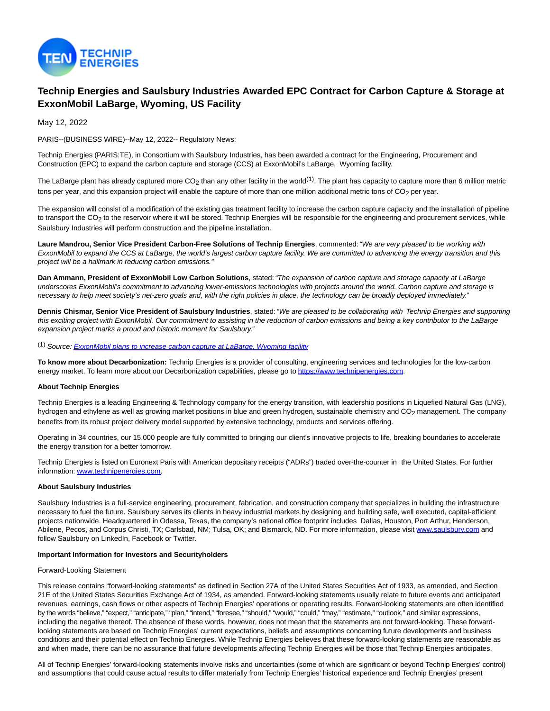

# **Technip Energies and Saulsbury Industries Awarded EPC Contract for Carbon Capture & Storage at ExxonMobil LaBarge, Wyoming, US Facility**

May 12, 2022

PARIS--(BUSINESS WIRE)--May 12, 2022-- Regulatory News:

Technip Energies (PARIS:TE), in Consortium with Saulsbury Industries, has been awarded a contract for the Engineering, Procurement and Construction (EPC) to expand the carbon capture and storage (CCS) at ExxonMobil's LaBarge, Wyoming facility.

The LaBarge plant has already captured more  $CO<sub>2</sub>$  than any other facility in the world<sup>(1)</sup>. The plant has capacity to capture more than 6 million metric tons per year, and this expansion project will enable the capture of more than one million additional metric tons of CO<sub>2</sub> per year.

The expansion will consist of a modification of the existing gas treatment facility to increase the carbon capture capacity and the installation of pipeline to transport the CO<sub>2</sub> to the reservoir where it will be stored. Technip Energies will be responsible for the engineering and procurement services, while Saulsbury Industries will perform construction and the pipeline installation.

**Laure Mandrou, Senior Vice President Carbon-Free Solutions of Technip Energies**, commented: "We are very pleased to be working with ExxonMobil to expand the CCS at LaBarge, the world's largest carbon capture facility. We are committed to advancing the energy transition and this project will be a hallmark in reducing carbon emissions."

**Dan Ammann, President of ExxonMobil Low Carbon Solutions**, stated: "The expansion of carbon capture and storage capacity at LaBarge underscores ExxonMobil's commitment to advancing lower-emissions technologies with projects around the world. Carbon capture and storage is necessary to help meet society's net-zero goals and, with the right policies in place, the technology can be broadly deployed immediately."

**Dennis Chismar, Senior Vice President of Saulsbury Industries**, stated: "We are pleased to be collaborating with Technip Energies and supporting this exciting project with ExxonMobil. Our commitment to assisting in the reduction of carbon emissions and being a key contributor to the LaBarge expansion project marks a proud and historic moment for Saulsbury."

(1) Source[: ExxonMobil plans to increase carbon capture at LaBarge, Wyoming facility](https://cts.businesswire.com/ct/CT?id=smartlink&url=https%3A%2F%2Fcorporate.exxonmobil.com%2FNews%2FNewsroom%2FNews-releases%2F2021%2F1021_ExxonMobil-plans-to-increase-carbon-capture-at-LaBarge-Wyoming-facility&esheet=52716769&newsitemid=20220511006099&lan=en-US&anchor=ExxonMobil+plans+to+increase+carbon+capture+at+LaBarge%2C+Wyoming+facility&index=1&md5=ef83755c85804b8fb4f4d52d7dfec118)

**To know more about Decarbonization:** Technip Energies is a provider of consulting, engineering services and technologies for the low-carbon energy market. To learn more about our Decarbonization capabilities, please go to [https://www.technipenergies.com.](https://cts.businesswire.com/ct/CT?id=smartlink&url=https%3A%2F%2Fwww.technipenergies.com&esheet=52716769&newsitemid=20220511006099&lan=en-US&anchor=https%3A%2F%2Fwww.technipenergies.com&index=2&md5=a11cc79e3589d2d5925ee7fb386f1bef)

# **About Technip Energies**

Technip Energies is a leading Engineering & Technology company for the energy transition, with leadership positions in Liquefied Natural Gas (LNG), hydrogen and ethylene as well as growing market positions in blue and green hydrogen, sustainable chemistry and CO<sub>2</sub> management. The company benefits from its robust project delivery model supported by extensive technology, products and services offering.

Operating in 34 countries, our 15,000 people are fully committed to bringing our client's innovative projects to life, breaking boundaries to accelerate the energy transition for a better tomorrow.

Technip Energies is listed on Euronext Paris with American depositary receipts ("ADRs") traded over-the-counter in the United States. For further information: [www.technipenergies.com.](https://cts.businesswire.com/ct/CT?id=smartlink&url=http%3A%2F%2Fwww.technipenergies.com&esheet=52716769&newsitemid=20220511006099&lan=en-US&anchor=www.technipenergies.com&index=3&md5=176af6a92d45145db3589315a54eb86c)

# **About Saulsbury Industries**

Saulsbury Industries is a full-service engineering, procurement, fabrication, and construction company that specializes in building the infrastructure necessary to fuel the future. Saulsbury serves its clients in heavy industrial markets by designing and building safe, well executed, capital-efficient projects nationwide. Headquartered in Odessa, Texas, the company's national office footprint includes Dallas, Houston, Port Arthur, Henderson, Abilene, Pecos, and Corpus Christi, TX; Carlsbad, NM; Tulsa, OK; and Bismarck, ND. For more information, please visit [www.saulsbury.com a](https://cts.businesswire.com/ct/CT?id=smartlink&url=http%3A%2F%2Fwww.saulsbury.com&esheet=52716769&newsitemid=20220511006099&lan=en-US&anchor=www.saulsbury.com&index=4&md5=39f0542762e4f00f379771235d87c79b)nd follow Saulsbury on LinkedIn, Facebook or Twitter.

#### **Important Information for Investors and Securityholders**

#### Forward-Looking Statement

This release contains "forward-looking statements" as defined in Section 27A of the United States Securities Act of 1933, as amended, and Section 21E of the United States Securities Exchange Act of 1934, as amended. Forward-looking statements usually relate to future events and anticipated revenues, earnings, cash flows or other aspects of Technip Energies' operations or operating results. Forward-looking statements are often identified by the words "believe," "expect," "anticipate," "plan," "intend," "foresee," "should," "would," "could," "may," "estimate," "outlook," and similar expressions, including the negative thereof. The absence of these words, however, does not mean that the statements are not forward-looking. These forwardlooking statements are based on Technip Energies' current expectations, beliefs and assumptions concerning future developments and business conditions and their potential effect on Technip Energies. While Technip Energies believes that these forward-looking statements are reasonable as and when made, there can be no assurance that future developments affecting Technip Energies will be those that Technip Energies anticipates.

All of Technip Energies' forward-looking statements involve risks and uncertainties (some of which are significant or beyond Technip Energies' control) and assumptions that could cause actual results to differ materially from Technip Energies' historical experience and Technip Energies' present